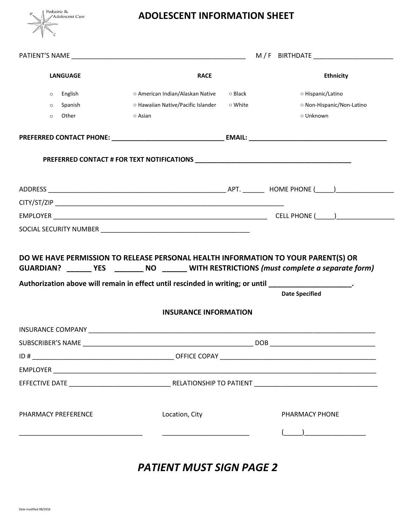

## **ADOLESCENT INFORMATION SHEET**

|                          | <b>LANGUAGE</b> | <b>RACE</b>                                                                                          |         | <b>Ethnicity</b>                                                                                                     |  |
|--------------------------|-----------------|------------------------------------------------------------------------------------------------------|---------|----------------------------------------------------------------------------------------------------------------------|--|
| $\circ$                  | English         | ○ American Indian/Alaskan Native ○ Black                                                             |         | ○ Hispanic/Latino                                                                                                    |  |
| $\circ$                  | Spanish         | ○ Hawaiian Native/Pacific Islander                                                                   | ○ White | O Non-Hispanic/Non-Latino                                                                                            |  |
| $\circ$                  | Other           | $\circ$ Asian                                                                                        |         | ○ Unknown                                                                                                            |  |
|                          |                 |                                                                                                      |         |                                                                                                                      |  |
|                          |                 |                                                                                                      |         |                                                                                                                      |  |
|                          |                 |                                                                                                      |         |                                                                                                                      |  |
|                          |                 |                                                                                                      |         |                                                                                                                      |  |
|                          |                 |                                                                                                      |         |                                                                                                                      |  |
|                          |                 |                                                                                                      |         |                                                                                                                      |  |
|                          |                 | Authorization above will remain in effect until rescinded in writing; or until ____________________. |         | GUARDIAN? _______ YES ________ NO _______ WITH RESTRICTIONS (must complete a separate form)<br><b>Date Specified</b> |  |
|                          |                 | <b>INSURANCE INFORMATION</b>                                                                         |         |                                                                                                                      |  |
|                          |                 |                                                                                                      |         |                                                                                                                      |  |
| <b>SUBSCRIBER'S NAME</b> |                 |                                                                                                      |         | <b>DOB</b>                                                                                                           |  |
|                          |                 |                                                                                                      |         |                                                                                                                      |  |
|                          |                 |                                                                                                      |         |                                                                                                                      |  |
|                          |                 |                                                                                                      |         |                                                                                                                      |  |
| PHARMACY PREFERENCE      |                 | Location, City                                                                                       |         | PHARMACY PHONE                                                                                                       |  |
|                          |                 |                                                                                                      |         |                                                                                                                      |  |
|                          |                 |                                                                                                      |         |                                                                                                                      |  |
|                          |                 |                                                                                                      |         |                                                                                                                      |  |

*PATIENT MUST SIGN PAGE 2*